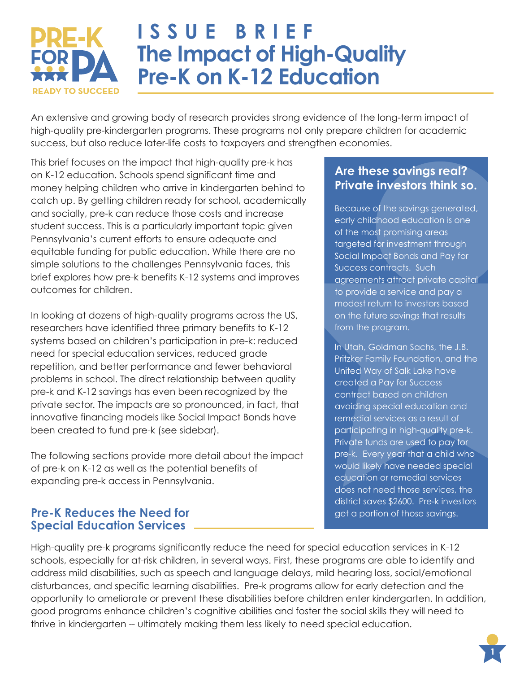

# **ISSUE BRIEF The Impact of High-Quality Pre-K on K-12 Education**

An extensive and growing body of research provides strong evidence of the long-term impact of high-quality pre-kindergarten programs. These programs not only prepare children for academic success, but also reduce later-life costs to taxpayers and strengthen economies.

This brief focuses on the impact that high-quality pre-k has on K-12 education. Schools spend significant time and money helping children who arrive in kindergarten behind to catch up. By getting children ready for school, academically and socially, pre-k can reduce those costs and increase student success. This is a particularly important topic given Pennsylvania's current efforts to ensure adequate and equitable funding for public education. While there are no simple solutions to the challenges Pennsylvania faces, this brief explores how pre-k benefits K-12 systems and improves outcomes for children.

In looking at dozens of high-quality programs across the US, researchers have identified three primary benefits to K-12 systems based on children's participation in pre-k: reduced need for special education services, reduced grade repetition, and better performance and fewer behavioral problems in school. The direct relationship between quality pre-k and K-12 savings has even been recognized by the private sector. The impacts are so pronounced, in fact, that innovative financing models like Social Impact Bonds have been created to fund pre-k (see sidebar).

The following sections provide more detail about the impact of pre-k on K-12 as well as the potential benefits of expanding pre-k access in Pennsylvania.

#### **Pre-K Reduces the Need for Special Education Services**

#### **Are these savings real? Private investors think so.**

Because of the savings generated, early childhood education is one of the most promising areas targeted for investment through Social Impact Bonds and Pay for Success contracts. Such agreements attract private capital to provide a service and pay a modest return to investors based on the future savings that results from the program.

In Utah, Goldman Sachs, the J.B. Pritzker Family Foundation, and the United Way of Salk Lake have created a Pay for Success contract based on children avoiding special education and remedial services as a result of participating in high-quality pre-k. Private funds are used to pay for pre-k. Every year that a child who would likely have needed special education or remedial services does not need those services, the district saves \$2600. Pre-k investors get a portion of those savings.

High-quality pre-k programs significantly reduce the need for special education services in K-12 schools, especially for at-risk children, in several ways. First, these programs are able to identify and address mild disabilities, such as speech and language delays, mild hearing loss, social/emotional disturbances, and specific learning disabilities. Pre-k programs allow for early detection and the opportunity to ameliorate or prevent these disabilities before children enter kindergarten. In addition, good programs enhance children's cognitive abilities and foster the social skills they will need to thrive in kindergarten -- ultimately making them less likely to need special education.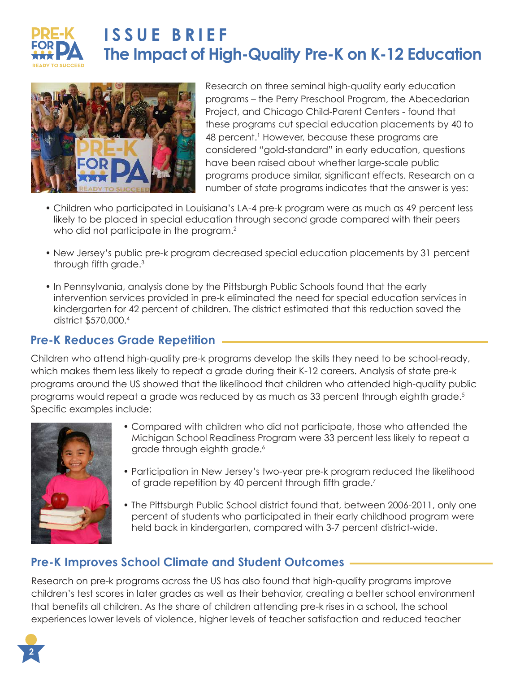

## **ISSUE BRIEF The Impact of High-Quality Pre-K on K-12 Education**



Research on three seminal high-quality early education programs – the Perry Preschool Program, the Abecedarian Project, and Chicago Child-Parent Centers - found that these programs cut special education placements by 40 to 48 percent.<sup>1</sup> However, because these programs are considered "gold-standard" in early education, questions have been raised about whether large-scale public programs produce similar, significant effects. Research on a number of state programs indicates that the answer is yes:

- Children who participated in Louisiana's LA-4 pre-k program were as much as 49 percent less likely to be placed in special education through second grade compared with their peers who did not participate in the program.<sup>2</sup>
- New Jersey's public pre-k program decreased special education placements by 31 percent through fifth grade.<sup>3</sup>
- In Pennsylvania, analysis done by the Pittsburgh Public Schools found that the early intervention services provided in pre-k eliminated the need for special education services in kindergarten for 42 percent of children. The district estimated that this reduction saved the district \$570,000.<sup>4</sup>

### **Pre-K Reduces Grade Repetition**

Children who attend high-quality pre-k programs develop the skills they need to be school-ready, which makes them less likely to repeat a grade during their K-12 careers. Analysis of state pre-k programs around the US showed that the likelihood that children who attended high-quality public programs would repeat a grade was reduced by as much as 33 percent through eighth grade.<sup>5</sup> Specific examples include:



- Compared with children who did not participate, those who attended the Michigan School Readiness Program were 33 percent less likely to repeat a grade through eighth grade.<sup>6</sup>
- Participation in New Jersey's two-year pre-k program reduced the likelihood of grade repetition by 40 percent through fifth grade.<sup>7</sup>
- The Pittsburgh Public School district found that, between 2006-2011, only one percent of students who participated in their early childhood program were held back in kindergarten, compared with 3-7 percent district-wide.

#### **Pre-K Improves School Climate and Student Outcomes**

Research on pre-k programs across the US has also found that high-quality programs improve children's test scores in later grades as well as their behavior, creating a better school environment that benefits all children. As the share of children attending pre-k rises in a school, the school experiences lower levels of violence, higher levels of teacher satisfaction and reduced teacher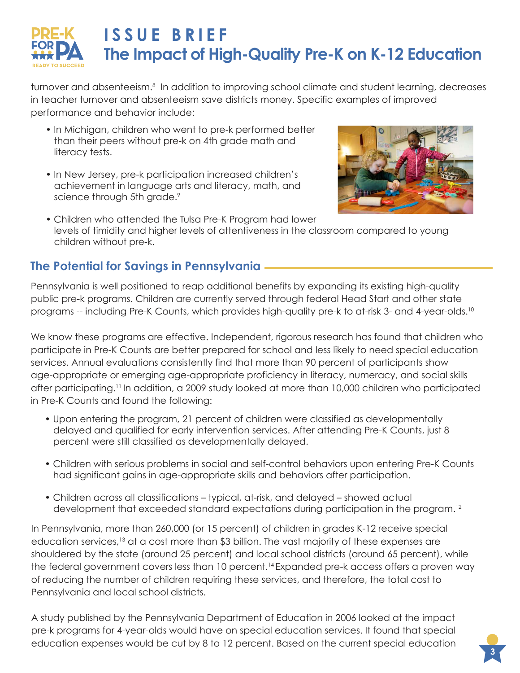

turnover and absenteeism.<sup>8</sup> In addition to improving school climate and student learning, decreases in teacher turnover and absenteeism save districts money. Specific examples of improved performance and behavior include:

- In Michigan, children who went to pre-k performed better than their peers without pre-k on 4th grade math and literacy tests.
- In New Jersey, pre-k participation increased children's achievement in language arts and literacy, math, and science through 5th grade.<sup>9</sup>



• Children who attended the Tulsa Pre-K Program had lower levels of timidity and higher levels of attentiveness in the classroom compared to young children without pre-k.

#### **The Potential for Savings in Pennsylvania**

Pennsylvania is well positioned to reap additional benefits by expanding its existing high-quality public pre-k programs. Children are currently served through federal Head Start and other state programs -- including Pre-K Counts, which provides high-quality pre-k to at-risk 3- and 4-year-olds.<sup>10</sup>

We know these programs are effective. Independent, rigorous research has found that children who participate in Pre-K Counts are better prepared for school and less likely to need special education services. Annual evaluations consistently find that more than 90 percent of participants show age-appropriate or emerging age-appropriate proficiency in literacy, numeracy, and social skills after participating.<sup>11</sup> In addition, a 2009 study looked at more than 10,000 children who participated in Pre-K Counts and found the following:

- Upon entering the program, 21 percent of children were classified as developmentally delayed and qualified for early intervention services. After attending Pre-K Counts, just 8 percent were still classified as developmentally delayed.
- ï Children with serious problems in social and self-control behaviors upon entering Pre-K Counts had significant gains in age-appropriate skills and behaviors after participation.
- Children across all classifications typical, at-risk, and delayed showed actual development that exceeded standard expectations during participation in the program.<sup>12</sup>

In Pennsylvania, more than 260,000 (or 15 percent) of children in grades K-12 receive special education services,<sup>13</sup> at a cost more than \$3 billion. The vast majority of these expenses are shouldered by the state (around 25 percent) and local school districts (around 65 percent), while the federal government covers less than 10 percent.<sup>14</sup> Expanded pre-k access offers a proven way of reducing the number of children requiring these services, and therefore, the total cost to Pennsylvania and local school districts.

A study published by the Pennsylvania Department of Education in 2006 looked at the impact pre-k programs for 4-year-olds would have on special education services. It found that special education expenses would be cut by 8 to 12 percent. Based on the current special education